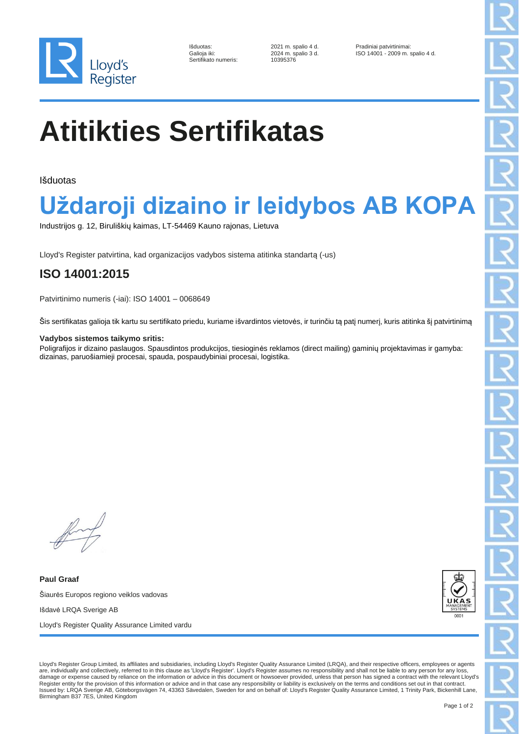

| Išduotas:            |
|----------------------|
| Galioja iki:         |
| Sertifikato numeris: |
|                      |

Sertifikato numeris: 10395376

2021 m. spalio 4 d. <br>
2024 m. spalio 3 d. <br>
ISO 14001 - 2009 m. ISO 14001 - 2009 m. spalio 4 d.

# **Atitikties Sertifikatas**

Išduotas

### **Uždaroji dizaino ir leidybos AB KOPA**

Industrijos g. 12, Biruliškių kaimas, LT-54469 Kauno rajonas, Lietuva

Lloyd's Register patvirtina, kad organizacijos vadybos sistema atitinka standartą (-us)

### **ISO 14001:2015**

Patvirtinimo numeris (-iai): ISO 14001 – 0068649

Šis sertifikatas galioja tik kartu su sertifikato priedu, kuriame išvardintos vietovės, ir turinčiu tą patį numerį, kuris atitinka šį patvirtinimą

#### **Vadybos sistemos taikymo sritis:**

Poligrafijos ir dizaino paslaugos. Spausdintos produkcijos, tiesioginės reklamos (direct mailing) gaminių projektavimas ir gamyba: dizainas, paruošiamieji procesai, spauda, pospaudybiniai procesai, logistika.

**Paul Graaf** Šiaurės Europos regiono veiklos vadovas Išdavė LRQA Sverige AB Lloyd's Register Quality Assurance Limited vardu



Lloyd's Register Group Limited, its affiliates and subsidiaries, including Lloyd's Register Quality Assurance Limited (LRQA), and their respective officers, employees or agents are, individually and collectively, referred to in this clause as 'Lloyd's Register'. Lloyd's Register assumes no responsibility and shall not be liable to any person for any loss, damage or expense caused by reliance on the information or advice in this document or howsoever provided, unless that person has signed a contract with the relevant Lloyd's Register entity for the provision of this information or advice and in that case any responsibility or liability is exclusively on the terms and conditions set out in that contract Issued by: LRQA Sverige AB, Göteborgsvägen 74, 43363 Sävedalen, Sweden for and on behalf of: Lloyd's Register Quality Assurance Limited, 1 Trinity Park, Bickenhill Lane, Birmingham B37 7ES, United Kingdom